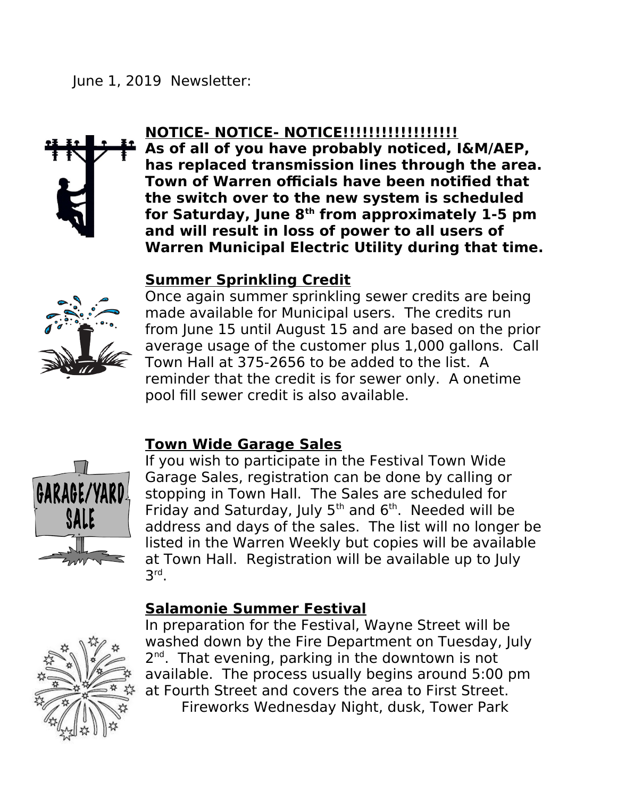## June 1, 2019 Newsletter:



# **NOTICE- NOTICE- NOTICE!!!!!!!!!!!!!!!!!!**

**As of all of you have probably noticed, I&M/AEP, has replaced transmission lines through the area. Town of Warren officials have been notified that the switch over to the new system is scheduled for Saturday, June 8th from approximately 1-5 pm and will result in loss of power to all users of Warren Municipal Electric Utility during that time.**

### **Summer Sprinkling Credit**



Once again summer sprinkling sewer credits are being made available for Municipal users. The credits run from June 15 until August 15 and are based on the prior average usage of the customer plus 1,000 gallons. Call Town Hall at 375-2656 to be added to the list. A reminder that the credit is for sewer only. A onetime pool fill sewer credit is also available.

## **Town Wide Garage Sales**



If you wish to participate in the Festival Town Wide Garage Sales, registration can be done by calling or stopping in Town Hall. The Sales are scheduled for Friday and Saturday, July  $5<sup>th</sup>$  and  $6<sup>th</sup>$ . Needed will be address and days of the sales. The list will no longer be listed in the Warren Weekly but copies will be available at Town Hall. Registration will be available up to July 3 rd .

#### **Salamonie Summer Festival**



In preparation for the Festival, Wayne Street will be washed down by the Fire Department on Tuesday, July 2<sup>nd</sup>. That evening, parking in the downtown is not available. The process usually begins around 5:00 pm at Fourth Street and covers the area to First Street. Fireworks Wednesday Night, dusk, Tower Park